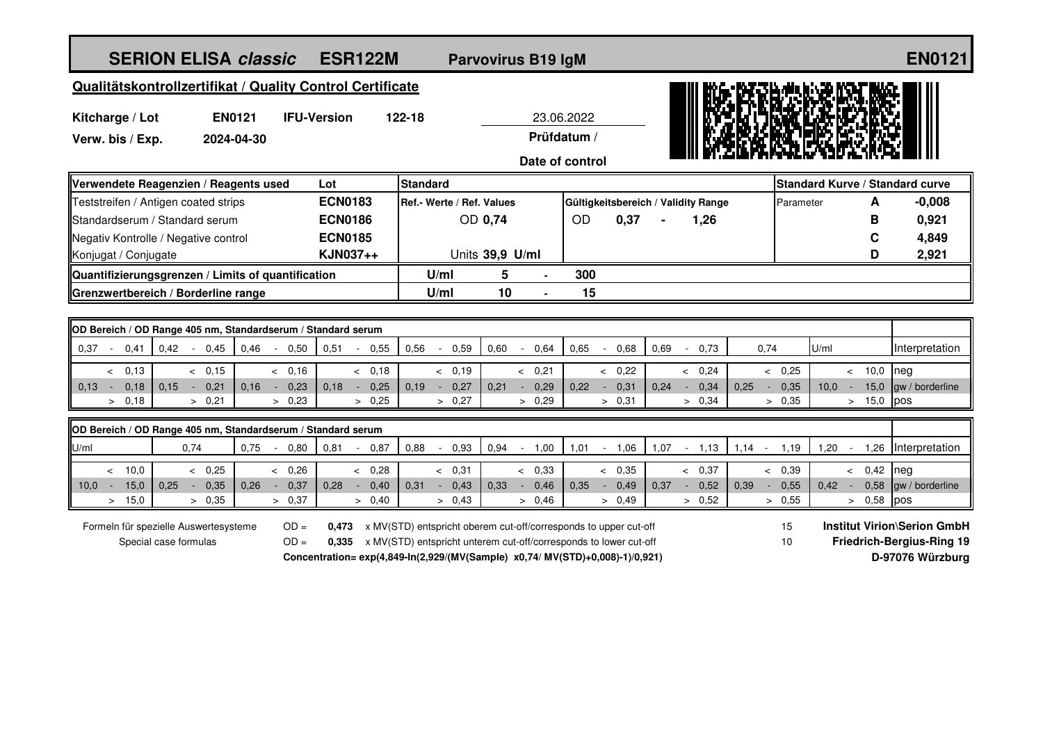| <b>SERION ELISA classic</b><br><b>ESR122M</b>                  |        |                                |                                    |                        | <b>Parvovirus B19 IgM</b> |                           |                                                                                                                                                                                                                        |                |           |                |      |                                     |                |                                                                                                        |                                 |        |              | <b>EN0121</b>   |
|----------------------------------------------------------------|--------|--------------------------------|------------------------------------|------------------------|---------------------------|---------------------------|------------------------------------------------------------------------------------------------------------------------------------------------------------------------------------------------------------------------|----------------|-----------|----------------|------|-------------------------------------|----------------|--------------------------------------------------------------------------------------------------------|---------------------------------|--------|--------------|-----------------|
| Qualitätskontrollzertifikat / Quality Control Certificate      |        |                                |                                    |                        |                           |                           |                                                                                                                                                                                                                        |                |           |                |      |                                     |                |                                                                                                        |                                 |        |              |                 |
| <b>EN0121</b><br>Kitcharge / Lot                               |        |                                | <b>IFU-Version</b><br>122-18       |                        |                           | 23.06.2022                |                                                                                                                                                                                                                        |                |           |                |      |                                     |                |                                                                                                        |                                 |        |              |                 |
| Verw. bis / Exp.<br>2024-04-30                                 |        |                                |                                    | Prüfdatum /            |                           |                           |                                                                                                                                                                                                                        |                |           |                |      |                                     |                |                                                                                                        |                                 |        |              |                 |
| Date of control                                                |        |                                |                                    |                        |                           |                           |                                                                                                                                                                                                                        |                |           |                |      |                                     |                |                                                                                                        |                                 |        |              |                 |
| Verwendete Reagenzien / Reagents used<br>Lot                   |        |                                |                                    |                        | Standard                  |                           |                                                                                                                                                                                                                        |                |           |                |      |                                     |                |                                                                                                        | Standard Kurve / Standard curve |        |              |                 |
| Teststreifen / Antigen coated strips                           |        |                                | <b>ECN0183</b>                     |                        |                           | Ref.- Werte / Ref. Values |                                                                                                                                                                                                                        |                |           |                |      | Gültigkeitsbereich / Validity Range |                | Parameter                                                                                              |                                 |        | A            | $-0.008$        |
| Standardserum / Standard serum                                 |        |                                | <b>ECN0186</b>                     |                        |                           |                           | OD 0,74                                                                                                                                                                                                                |                | <b>OD</b> | 0,37           |      | 1,26                                |                |                                                                                                        |                                 |        | в            | 0,921           |
| Negativ Kontrolle / Negative control                           |        |                                | <b>ECN0185</b>                     |                        |                           |                           |                                                                                                                                                                                                                        |                |           |                |      |                                     |                |                                                                                                        |                                 |        | C            | 4,849           |
| KJN037++<br>Konjugat / Conjugate                               |        |                                |                                    |                        | Units 39,9 U/ml           |                           |                                                                                                                                                                                                                        |                |           |                |      |                                     |                |                                                                                                        | D                               | 2,921  |              |                 |
| Quantifizierungsgrenzen / Limits of quantification             |        |                                |                                    |                        |                           | U/ml                      | 5                                                                                                                                                                                                                      |                | 300       |                |      |                                     |                |                                                                                                        |                                 |        |              |                 |
| Grenzwertbereich / Borderline range                            |        |                                |                                    |                        |                           | U/ml                      | 10                                                                                                                                                                                                                     |                | 15        |                |      |                                     |                |                                                                                                        |                                 |        |              |                 |
| OD Bereich / OD Range 405 nm, Standardserum / Standard serum   |        |                                |                                    |                        |                           |                           |                                                                                                                                                                                                                        |                |           |                |      |                                     |                |                                                                                                        |                                 |        |              |                 |
| 0,37<br>$0,42 - 0,45$<br>0,41<br>$\sim$                        |        | 0,46<br>$-0,50$                | 0,51                               | 0,55<br>$\sim$         | 0,56                      | 0,59<br>$\sim$            | 0,60                                                                                                                                                                                                                   | 0.64<br>$\sim$ | 0.65      | 0.68<br>$\sim$ | 0.69 | 0,73<br>$\sim$                      | 0,74           |                                                                                                        | U/ml                            |        |              | Interpretation  |
| & 0,13                                                         | & 0,15 | & 0,16                         |                                    | < 0,18                 |                           | & 0,19                    |                                                                                                                                                                                                                        | & 0,21         |           | & 0.22         |      | & 0,24                              |                | & 0.25                                                                                                 |                                 | < 10,0 |              | neg             |
| 0,18<br>0,15<br>$0.13 -$<br>$\sim 10^{-1}$                     | 0,21   | 0.16<br>0,23<br>$\sim$         | 0,18                               | 0,25<br>$\sim$ $-$     | 0.19                      | 0,27<br>$\sim 10$         | 0.21                                                                                                                                                                                                                   | 0,29<br>$\sim$ | 0.22      | $-0.31$        | 0.24 | 0,34<br>$\sim$                      | 0.25<br>$\sim$ | 0,35                                                                                                   | 10.0                            | ÷.     | 15,0         | gw / borderline |
| > 0,18                                                         | > 0,21 | > 0,23                         |                                    | > 0,25                 |                           | > 0,27                    |                                                                                                                                                                                                                        | > 0,29         |           | > 0,31         |      | > 0,34                              |                | > 0,35                                                                                                 |                                 |        | $> 15,0$ pos |                 |
| OD Bereich / OD Range 405 nm, Standardserum / Standard serum   |        |                                |                                    |                        |                           |                           |                                                                                                                                                                                                                        |                |           |                |      |                                     |                |                                                                                                        |                                 |        |              |                 |
| U/ml<br>0,74                                                   |        | 0,75<br>0.80<br>$\sim$         | 0,81                               | 0,87<br>$\blacksquare$ | 0,88                      | 0,93<br>$\sim$            | 0,94                                                                                                                                                                                                                   | $-1,00$        | 1,01      | $-1,06$        | 1,07 | $-1,13$                             | $1,14 -$       | 1,19                                                                                                   | 1,20                            | $\sim$ | 1,26         | Interpretation  |
| 10,0<br>$\prec$                                                | & 0.25 | & 0,26                         |                                    | < 0,28                 |                           | & 0,31                    |                                                                                                                                                                                                                        | < 0,33         |           | & 0,35         |      | & 0,37                              |                | < 0.39                                                                                                 |                                 | < 0,42 |              | neg             |
| 0.25<br>10.0<br>15,0<br>$\sim$<br>$\sim$                       | 0,35   | 0.26<br>0.37<br>$\sim 10^{-1}$ | 0.28                               | 0.40<br>$\sim$         | 0.31                      | $-0,43$                   | 0.33                                                                                                                                                                                                                   | 0.46<br>$\sim$ | 0.35      | $-0.49$        | 0.37 | 0,52<br>$\sim$ $-$                  | 0.39<br>♦      | 0,55                                                                                                   | 0.42                            | $\sim$ | 0,58         | gw / borderline |
| 15,0<br>$\,>\,$                                                | > 0,35 | > 0,37                         |                                    | > 0,40                 |                           | > 0,43                    |                                                                                                                                                                                                                        | > 0,46         |           | > 0,49         |      | > 0,52                              |                | > 0,55                                                                                                 |                                 |        | > 0,58       | pos             |
| Formeln für spezielle Auswertesysteme<br>Special case formulas |        |                                | $OD =$<br>0.473<br>$OD =$<br>0.335 |                        |                           |                           | x MV(STD) entspricht oberem cut-off/corresponds to upper cut-off<br>x MV(STD) entspricht unterem cut-off/corresponds to lower cut-off<br>Concentration= exp(4,849-ln(2,929/(MV(Sample) x0,74/ MV(STD)+0,008)-1)/0,921) |                |           |                |      |                                     |                | <b>Institut Virion\Serion GmbH</b><br>15<br><b>Friedrich-Bergius-Ring 19</b><br>10<br>D-97076 Würzburg |                                 |        |              |                 |
|                                                                |        |                                |                                    |                        |                           |                           |                                                                                                                                                                                                                        |                |           |                |      |                                     |                |                                                                                                        |                                 |        |              |                 |